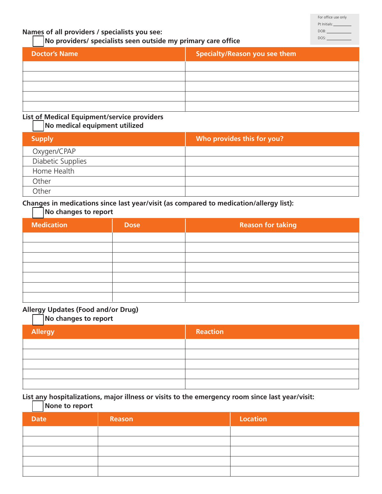### **Names of all providers / specialists you see:**

#### **No providers/ specialists seen outside my primary care office**

| <b>Doctor's Name</b> | <b>Specialty/Reason you see them</b> |
|----------------------|--------------------------------------|
|                      |                                      |
|                      |                                      |
|                      |                                      |
|                      |                                      |
|                      |                                      |

# **List of Medical Equipment/service providers**

## **No medical equipment utilized**

| <b>Supply</b>     | Who provides this for you? |
|-------------------|----------------------------|
| Oxygen/CPAP       |                            |
| Diabetic Supplies |                            |
| Home Health       |                            |
| Other             |                            |
| Other             |                            |

#### **Changes in medications since last year/visit (as compared to medication/allergy list):**

#### **No changes to report**

| <b>Medication</b> | <b>Dose</b> | <b>Reason for taking</b> |
|-------------------|-------------|--------------------------|
|                   |             |                          |
|                   |             |                          |
|                   |             |                          |
|                   |             |                          |
|                   |             |                          |
|                   |             |                          |
|                   |             |                          |

#### **Allergy Updates (Food and/or Drug)**

#### **No changes to report**

| Allergy | Reaction |
|---------|----------|
|         |          |
|         |          |
|         |          |
|         |          |
|         |          |

#### **List any hospitalizations, major illness or visits to the emergency room since last year/visit: None to report**

| <b>INDIE IN IEPUIL</b> |        |          |
|------------------------|--------|----------|
| <b>Date</b>            | Reason | Location |
|                        |        |          |
|                        |        |          |
|                        |        |          |
|                        |        |          |
|                        |        |          |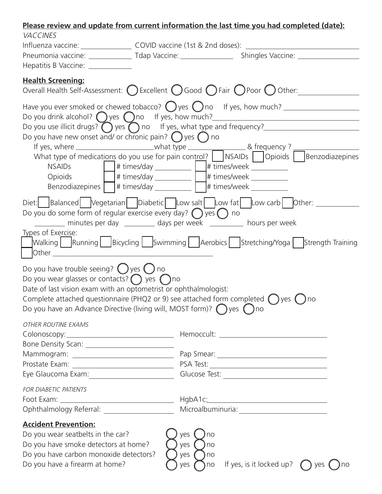# **Please review and update from current information the last time you had completed (date):**

| <b>VACCINES</b>                                                                                                                                                                                                               |                            |                                                                                                                                |
|-------------------------------------------------------------------------------------------------------------------------------------------------------------------------------------------------------------------------------|----------------------------|--------------------------------------------------------------------------------------------------------------------------------|
|                                                                                                                                                                                                                               |                            | Pneumonia vaccine: ______________________Tdap Vaccine: _________________________Shingles Vaccine: ____________                 |
| Hepatitis B Vaccine: ____________                                                                                                                                                                                             |                            |                                                                                                                                |
|                                                                                                                                                                                                                               |                            |                                                                                                                                |
| <b>Health Screening:</b><br>Overall Health Self-Assessment: $\bigcirc$ Excellent $\bigcirc$ Good $\bigcirc$ Fair $\bigcirc$ Poor $\bigcirc$ Other:                                                                            |                            |                                                                                                                                |
|                                                                                                                                                                                                                               |                            | Have you ever smoked or chewed tobacco? $\bigcirc$ yes $\bigcirc$ no If yes, how much?                                         |
|                                                                                                                                                                                                                               |                            |                                                                                                                                |
| Do you have new onset and/ or chronic pain? $\bigcirc$ yes $\bigcirc$ no                                                                                                                                                      |                            | Do you use illicit drugs? $\bigcirc$ yes $\bigcirc$ no If yes, what type and frequency? <u>_______________________________</u> |
|                                                                                                                                                                                                                               |                            |                                                                                                                                |
|                                                                                                                                                                                                                               |                            | What type of medications do you use for pain control? NSAIDs Opioids Benzodiazepines                                           |
|                                                                                                                                                                                                                               |                            |                                                                                                                                |
| Benzodiazepines # times/day ___________ # times/week ________                                                                                                                                                                 |                            |                                                                                                                                |
|                                                                                                                                                                                                                               |                            |                                                                                                                                |
| Diet: Balanced Vegetarian Diabetic Low salt Low fat Low carb Other:                                                                                                                                                           |                            |                                                                                                                                |
| Do you do some form of regular exercise every day? $\bigcirc$ yes $\bigcirc$ no                                                                                                                                               |                            |                                                                                                                                |
| minutes per day __________ days per week _________ hours per week<br>Types of Exercise:                                                                                                                                       |                            |                                                                                                                                |
|                                                                                                                                                                                                                               |                            | Walking Running Bicycling Swimming Aerobics Stretching/Yoga Strength Training                                                  |
| Other contracts and contracts are all the contracts of the contracts of the contracts of the contracts of the contracts of the contracts of the contracts of the contracts of the contracts of the contracts of the contracts |                            |                                                                                                                                |
| Do you have trouble seeing? $\bigcirc$ yes $\bigcirc$ no                                                                                                                                                                      |                            |                                                                                                                                |
| Do you wear glasses or contacts? $\bigcirc$ yes $\bigcirc$ no                                                                                                                                                                 |                            |                                                                                                                                |
| Date of last vision exam with an optometrist or ophthalmologist:                                                                                                                                                              |                            |                                                                                                                                |
| Complete attached questionnaire (PHQ2 or 9) see attached form completed $\bigcirc$ yes $\bigcirc$ no                                                                                                                          |                            |                                                                                                                                |
| Do you have an Advance Directive (living will, MOST form)? $\bigcirc$ yes $\bigcirc$ no                                                                                                                                       |                            |                                                                                                                                |
| OTHER ROUTINE EXAMS                                                                                                                                                                                                           |                            |                                                                                                                                |
|                                                                                                                                                                                                                               |                            |                                                                                                                                |
|                                                                                                                                                                                                                               |                            |                                                                                                                                |
|                                                                                                                                                                                                                               |                            |                                                                                                                                |
| Eye Glaucoma Exam: 1997-1998 Marcus Chaucoma Exam: 1998                                                                                                                                                                       |                            |                                                                                                                                |
| FOR DIABETIC PATIENTS                                                                                                                                                                                                         |                            |                                                                                                                                |
|                                                                                                                                                                                                                               |                            |                                                                                                                                |
|                                                                                                                                                                                                                               |                            |                                                                                                                                |
| <b>Accident Prevention:</b>                                                                                                                                                                                                   |                            |                                                                                                                                |
| Do you wear seatbelts in the car?                                                                                                                                                                                             | yes<br>no                  |                                                                                                                                |
| Do you have smoke detectors at home?<br>Do you have carbon monoxide detectors?                                                                                                                                                | yes<br>no                  |                                                                                                                                |
| Do you have a firearm at home?                                                                                                                                                                                                | yes<br>) no<br>yes<br>) no | If yes, is it locked up? $\bigcap$ yes<br>no                                                                                   |
|                                                                                                                                                                                                                               |                            |                                                                                                                                |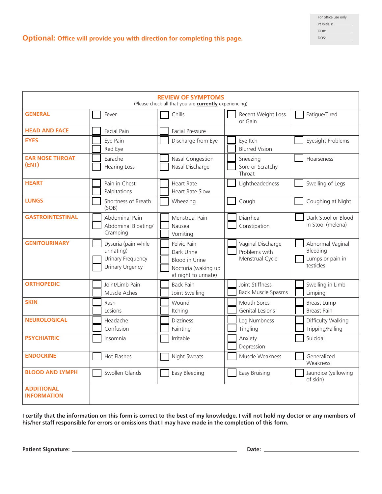| For office use only |
|---------------------|
| Pt Initials:        |
| DOB:                |
| DOS:                |

**Optional: Office will provide you with direction for completing this page.**

| <b>REVIEW OF SYMPTOMS</b><br>(Please check all that you are <b>currently</b> experiencing) |                                                                                  |                                                                                                   |                                                       |                                                               |
|--------------------------------------------------------------------------------------------|----------------------------------------------------------------------------------|---------------------------------------------------------------------------------------------------|-------------------------------------------------------|---------------------------------------------------------------|
| <b>GENERAL</b>                                                                             | Fever                                                                            | Chills                                                                                            | Recent Weight Loss<br>or Gain                         | Fatigue/Tired                                                 |
| <b>HEAD AND FACE</b>                                                                       | <b>Facial Pain</b>                                                               | <b>Facial Pressure</b>                                                                            |                                                       |                                                               |
| <b>EYES</b>                                                                                | Eye Pain<br>Red Eye                                                              | Discharge from Eye                                                                                | Eye Itch<br><b>Blurred Vision</b>                     | Eyesight Problems                                             |
| <b>EAR NOSE THROAT</b><br>(ENT)                                                            | Earache<br><b>Hearing Loss</b>                                                   | Nasal Congestion<br>Nasal Discharge                                                               | Sneezing<br>Sore or Scratchy<br>Throat                | Hoarseness                                                    |
| <b>HEART</b>                                                                               | Pain in Chest<br>Palpitations                                                    | <b>Heart Rate</b><br><b>Heart Rate Slow</b>                                                       | Lightheadedness                                       | Swelling of Legs                                              |
| <b>LUNGS</b>                                                                               | Shortness of Breath<br>(SOB)                                                     | Wheezing                                                                                          | Cough                                                 | Coughing at Night                                             |
| <b>GASTROINTESTINAL</b>                                                                    | Abdominal Pain<br>Abdominal Bloating/<br>Cramping                                | Menstrual Pain<br>Nausea<br>Vomiting                                                              | Diarrhea<br>Constipation                              | Dark Stool or Blood<br>in Stool (melena)                      |
| <b>GENITOURINARY</b>                                                                       | Dysuria (pain while<br>urinating)<br>Urinary Frequency<br><b>Urinary Urgency</b> | Pelvic Pain<br>Dark Urine<br><b>Blood in Urine</b><br>Nocturia (waking up<br>at night to urinate) | Vaginal Discharge<br>Problems with<br>Menstrual Cycle | Abnormal Vaginal<br>Bleeding<br>Lumps or pain in<br>testicles |
| <b>ORTHOPEDIC</b>                                                                          | Joint/Limb Pain<br>Muscle Aches                                                  | <b>Back Pain</b><br>Joint Swelling                                                                | Joint Stiffness<br><b>Back Muscle Spasms</b>          | Swelling in Limb<br>Limping                                   |
| <b>SKIN</b>                                                                                | Rash<br>Lesions                                                                  | Wound<br>Itching                                                                                  | Mouth Sores<br><b>Genital Lesions</b>                 | <b>Breast Lump</b><br><b>Breast Pain</b>                      |
| <b>NEUROLOGICAL</b>                                                                        | Headache<br>Confusion                                                            | <b>Dizziness</b><br>Fainting                                                                      | Leg Numbness<br>Tingling                              | Difficulty Walking<br>Tripping/Falling                        |
| <b>PSYCHIATRIC</b>                                                                         | Insomnia                                                                         | Irritable                                                                                         | Anxiety<br>Depression                                 | Suicidal                                                      |
| <b>ENDOCRINE</b>                                                                           | Hot Flashes                                                                      | Night Sweats                                                                                      | Muscle Weakness                                       | Generalized<br>Weakness                                       |
| <b>BLOOD AND LYMPH</b>                                                                     | Swollen Glands                                                                   | Easy Bleeding                                                                                     | Easy Bruising                                         | Jaundice (yellowing<br>of skin)                               |
| <b>ADDITIONAL</b><br><b>INFORMATION</b>                                                    |                                                                                  |                                                                                                   |                                                       |                                                               |

**I certify that the information on this form is correct to the best of my knowledge. I will not hold my doctor or any members of his/her staff responsible for errors or omissions that I may have made in the completion of this form.**

**Patient Signature: Date:**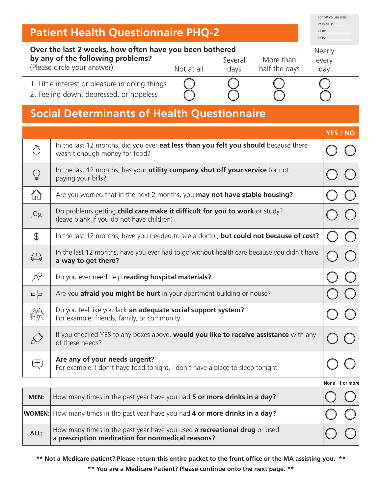| <b>Patient Health Questionnaire PHQ-2</b> |                                                                                                                                                                                                                              |                 |  |
|-------------------------------------------|------------------------------------------------------------------------------------------------------------------------------------------------------------------------------------------------------------------------------|-----------------|--|
|                                           | DOS:<br>Over the last 2 weeks, how often have you been bothered<br>Nearly<br>by any of the following problems?<br>More than<br>Several<br>every<br>(Please circle your answer)<br>Not at all<br>half the days<br>day<br>days |                 |  |
|                                           | 1. Little interest or pleasure in doing things<br>2. Feeling down, depressed, or hopeless                                                                                                                                    |                 |  |
|                                           | <b>Social Determinants of Health Questionnaire</b>                                                                                                                                                                           |                 |  |
|                                           |                                                                                                                                                                                                                              | <b>YES / NO</b> |  |
| $\mathring{\circ}$                        | In the last 12 months, did you ever eat less than you felt you should because there<br>wasn't enough money for food?                                                                                                         |                 |  |
| ₽                                         | In the last 12 months, has your utility company shut off your service for not<br>paying your bills?                                                                                                                          |                 |  |
| ⚠                                         | Are you worried that in the next 2 months, you may not have stable housing?                                                                                                                                                  |                 |  |
| ුල                                        | Do problems getting child care make it difficult for you to work or study?<br>(leave blank if you do not have children)                                                                                                      |                 |  |
| $\mathcal{L}$                             | In the last 12 months, have you needed to see a doctor, but could not because of cost?                                                                                                                                       |                 |  |
| ₩                                         | In the last 12 months, have you ever had to go without health care because you didn't have<br>a way to get there?                                                                                                            |                 |  |
| $\heartsuit^\oplus$                       | Do you ever need help reading hospital materials?                                                                                                                                                                            |                 |  |
| 루는                                        | Are you <b>afraid you might be hurt</b> in your apartment building or house?                                                                                                                                                 |                 |  |
|                                           | Do you feel like you lack an adequate social support system?<br>For example: friends, family, or community                                                                                                                   |                 |  |
|                                           | If you checked YES to any boxes above, <b>would you like to receive assistance</b> with any<br>of these needs?                                                                                                               |                 |  |
| $\equiv$                                  | Are any of your needs urgent?<br>For example: I don't have food tonight, I don't have a place to sleep tonight                                                                                                               |                 |  |
|                                           |                                                                                                                                                                                                                              |                 |  |

| None 1 or more |
|----------------|
|                |

For office use only

| <b>MEN:</b> | How many times in the past year have you had 5 or more drinks in a day?                                                                           |  |
|-------------|---------------------------------------------------------------------------------------------------------------------------------------------------|--|
|             | <b>WOMEN:</b> How many times in the past year have you had 4 or more drinks in a day?                                                             |  |
| ALL:        | How many times in the past year have you used a <b>recreational drug</b> or used $\vert$ a <b>prescription medication for nonmedical reasons?</b> |  |

**\*\* Not a Medicare patient? Please return this entire packet to the front office or the MA assisting you. \*\***

**\*\* You are a Medicare Patient? Please continue onto the next page. \*\***